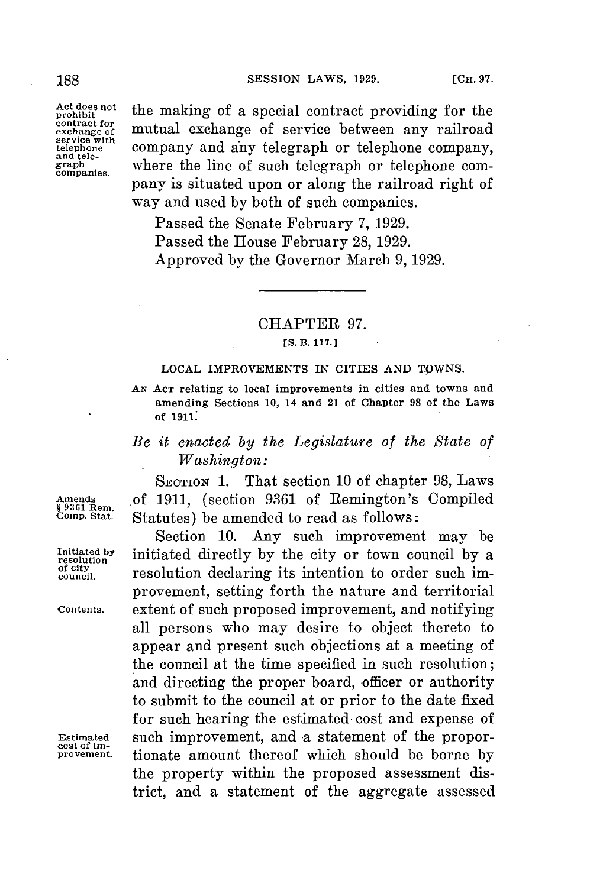prohibit<br>contract for exchange of<br>service with<br>telephone

Act does not the making of a special contract providing for the **exchange of** mutual exchange of service between any railroad Exervice with company and any telegraph or telephone company,<br>and tele-<br>graph where the line of such telegraph or telephone comand the set of such telegraph or telephone com-<br> **companies.** Where the line of such telegraph or telephone company is situated upon or along the railroad right of way and used **by** both of such companies.

> Passed the Senate February **7, 1929.** Passed the House February **28, 1929.** Approved **by** the Governor March **9, 1929.**

## CHAPTER **97.**

## **[S. B. 117.]**

## **LOCAL IMPROVEMENTS IN CITIES AND TOWNS.**

**AN ACT relating to local improvements in cities and towns and amending Sections 10, 14 and 21 of Chapter 98 of the Laws of 1911:**

## *Be it enacted by the Legislature of the State of Washington:*

**SECTION 1.** That section **10** of chapter **98,** Laws **Amends of 1911,** (section **9361** of Remington's Compiled **§ 9361** Rem. Statutes) be amended to read as follows:

Section **10.** Any such improvement may be Initiated by initiated directly by the city or town council by a *resolution* **incredient** *council*. *p resolution* declaring its intention to order such imresolution declaring its intention to order such improvement, setting forth the nature and territorial **Contents.** extent of such proposed improvement, and notifying all persons who may desire to object thereto to appear and present such objections at a meeting of the council at the time specified in such resolution; and directing the proper board, officer or authority to submit to the council at or prior to the date fixed **for** such hearing the estimated cost and expense of Estimated such improvement, and a statement of the propor-<br>
<u>provement</u> tionate amount thereof which should be borne by **provement.** tionate amount thereof which should be borne **by** the property within the proposed assessment district, and a statement of the aggregate assessed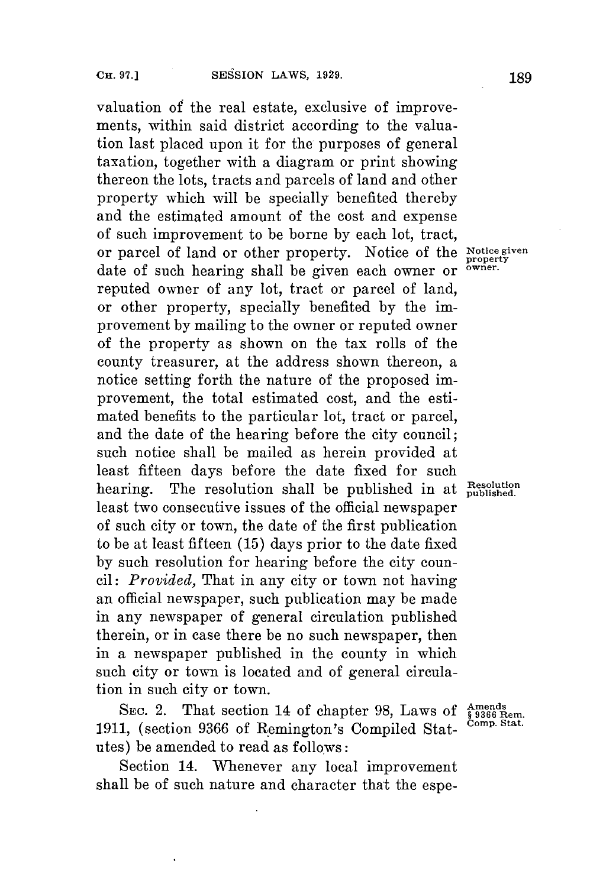valuation of the real estate, exclusive of improvements, within said district according to the valuation last placed upon it for the purposes of general taxation, together with a diagram or print showing thereon the lots, tracts and parcels of land and other property which will be specially benefited thereby and the estimated amount of the cost and expense of such improvement to be borne **by** each lot, tract, or parcel of land or other property. Notice of the **Notice given property** date of such hearing shall be given each owner or **owner.** reputed owner of any lot, tract or parcel of land, or other property, specially benefited **by** the improvement **by** mailing to the owner or reputed owner of the property as shown on the tax rolls of the county treasurer, at the address shown thereon, a notice setting forth the nature of the proposed improvement, the total estimated cost, and the estimated benefits to the particular lot, tract or parcel, and the date of the hearing before the city council; such notice shall be mailed as herein provided at least fifteen days before the date fixed for such hearing. The resolution shall be published in at **Resolution** least two consecutive issues of the official newspaper of such city or town, the date of the first publication to be at least fifteen **(15)** days prior to the date fixed **by** such resolution for hearing before the city coun*cil: Provided,* That in any city or town not having an official newspaper, such publication may be made in any newspaper of general circulation published therein, or in case there be no such newspaper, then in a newspaper published in the county in which such city or town is located and of general circulation in such city or town.

SEC. 2. That section 14 of chapter 98, Laws of  $\frac{\text{Amends}}{\$ 3366 \text{ Rem.}}$ <br>1. (section 9366 of Bemington's Compiled State comp. Stat.) **1911,** (section 9366 of Remington's Compiled Statutes) be amended to read as follows:

Section 14. Whenever any local improvement shall be of such nature and character that the espe-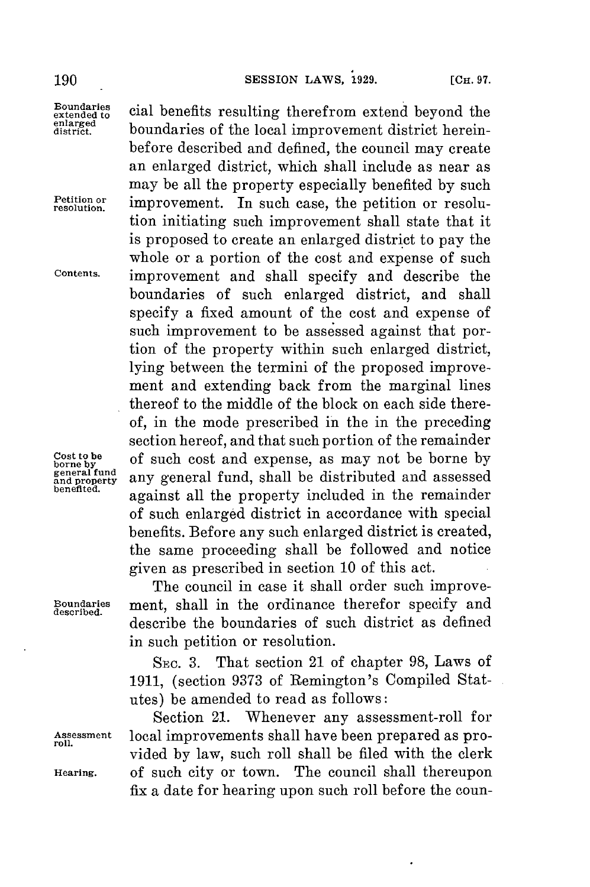Boundaries cial benefits resulting therefrom extend beyond the extended to<br>enlarged<br>district.

Cost to be of such cost and expense, as may not be borne by general fund<br>and property<br>benefited.

**Boundaries** ment, shall in the ordinance therefor specify and describe the boundaries of such district as defined in such petition or resolution. SEc. **3.** That section 21 of chapter **98,** Laws of

The council in case it shall order such improve-

given as prescribed in section **10** of this act.

thereof to the middle of the block on each side thereof, in the mode prescribed in the in the preceding section hereof, and that such portion of the remainder

any general fund, shall be distributed and assessed **benefited.** against all the property included in the remainder of such enlarged district in accordance with special benefits. Before any such enlarged district is created, the same proceeding shall be followed and notice

**1911,** (section **9373** of Remington's Compiled Statutes) be amended to read as follows:

Section 21. Whenever any assessment-roll for **Assessment** local improvements shall have been prepared as pro- **roll.** vided **by** law, such roll shall be filed with the clerk **Hearing.** of such city or town. The council shall thereupon fix a date for hearing upon such roll **before** the coun-

**190 SESSION** LAWS, **1929.** [Cn. **97.**

**district.** boundaries of the local improvement district herein-

before described and defined, the council may create an enlarged district, which shall include as near as may be all the property especially benefited **by** such **Petition or** improvement. In such case, the petition or resolution initiating such improvement shall state that it is proposed to create an enlarged district to pay the whole or a portion of the cost and expense of such **Contents.** improvement and shall specify and describe the boundaries of such enlarged district, and shall specify a fixed amount of the cost and expense of such improvement to be assessed against that portion of the property within such enlarged district, lying between the termini of the proposed improvement and extending back from the marginal lines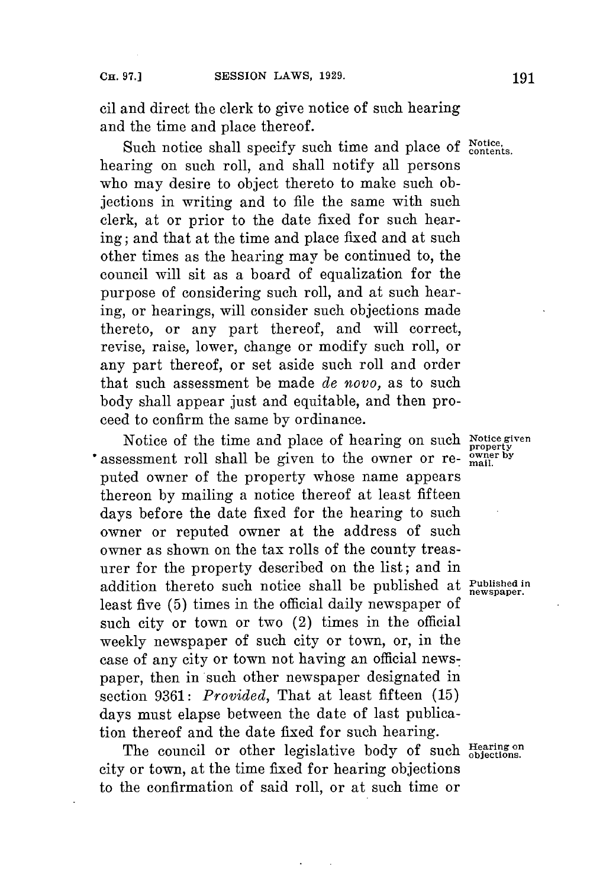cil and direct the clerk to give notice of such hearing and the time and place thereof.

Such notice shall specify such time and place of **Notice**, hearing on such roll, and shall notify all persons who may desire to object thereto to make such objections in writing and to file the same with such clerk, at or prior to the date fixed **for** such hearing; and that at the time and place fixed and at such other times as the hearing may be continued to, the council will sit as a board of equalization for the purpose of considering such roll, and at such hearing, or hearings, will consider such objections made thereto, or any part thereof, and will correct, revise, raise, lower, change or modify such roll, or any part thereof, or set aside such roll and order that such assessment be made *de novo,* as to such body shall appear just and equitable, and then proceed to confirm the same **by** ordinance.

Notice of the time and place of hearing **on such Notice given property assessment roll shall be given to the owner or re-**  $\frac{1}{2}$  mail. puted owner of the property whose name appears thereon **by** mailing a notice thereof at least fifteen days before the date fixed for the hearing to such owner or reputed owner at the address of such owner as shown on the tax rolls of the county treasurer for the property described on the list; and in addition thereto such notice shall be published at **Published in newspaper.** least five **(5)** times in the official daily newspaper of such city or town or two (2) times in the official weekly newspaper of such city or town, or, in the case of any city or town not having an official newspaper, then in such other newspaper designated in section **9361:** *Provided,* That at least fifteen **(15)** days must elapse between the date of last publication thereof and the date fixed **for** such hearing.

The council or other legislative body of such **Hearing** on city or town, at the time fixed **for** hearing objections to the confirmation of said roll, or at such time or